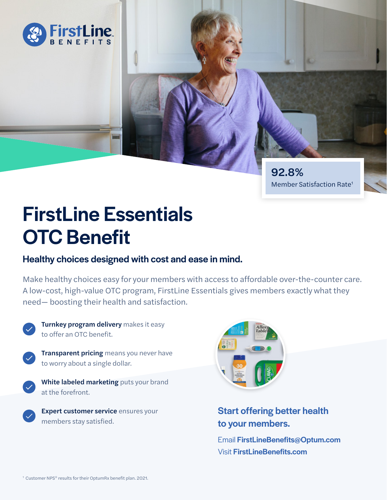

92.8% Member Satisfaction Rate1

# FirstLine Essentials OTC Benefit

### Healthy choices designed with cost and ease in mind.

Make healthy choices easy for your members with access to affordable over-the-counter care. A low-cost, high-value OTC program, FirstLine Essentials gives members exactly what they need— boosting their health and satisfaction.



Turnkey program delivery makes it easy to offer an OTC benefit.



**Transparent pricing** means you never have to worry about a single dollar.

White labeled marketing puts your brand at the forefront.

Expert customer service ensures your members stay satisfied.



## Start offering better health to your members.

Email FirstLineBenefits@Optum.com Visit FirstLineBenefits.com